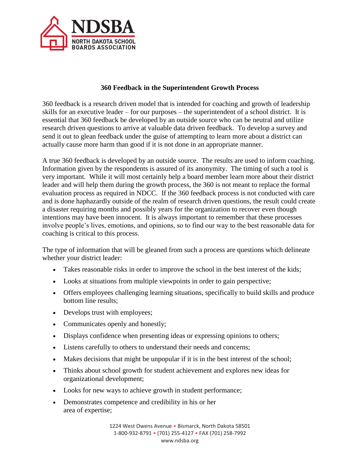

## **360 Feedback in the Superintendent Growth Process**

360 feedback is a research driven model that is intended for coaching and growth of leadership skills for an executive leader – for our purposes – the superintendent of a school district. It is essential that 360 feedback be developed by an outside source who can be neutral and utilize research driven questions to arrive at valuable data driven feedback. To develop a survey and send it out to glean feedback under the guise of attempting to learn more about a district can actually cause more harm than good if it is not done in an appropriate manner.

A true 360 feedback is developed by an outside source. The results are used to inform coaching. Information given by the respondents is assured of its anonymity. The timing of such a tool is very important. While it will most certainly help a board member learn more about their district leader and will help them during the growth process, the 360 is not meant to replace the formal evaluation process as required in NDCC. If the 360 feedback process is not conducted with care and is done haphazardly outside of the realm of research driven questions, the result could create a disaster requiring months and possibly years for the organization to recover even though intentions may have been innocent. It is always important to remember that these processes involve people's lives, emotions, and opinions, so to find our way to the best reasonable data for coaching is critical to this process.

The type of information that will be gleaned from such a process are questions which delineate whether your district leader:

- Takes reasonable risks in order to improve the school in the best interest of the kids;
- Looks at situations from multiple viewpoints in order to gain perspective;
- Offers employees challenging learning situations, specifically to build skills and produce bottom line results;
- Develops trust with employees;
- Communicates openly and honestly;
- Displays confidence when presenting ideas or expressing opinions to others;
- Listens carefully to others to understand their needs and concerns;
- Makes decisions that might be unpopular if it is in the best interest of the school;
- Thinks about school growth for student achievement and explores new ideas for organizational development;
- Looks for new ways to achieve growth in student performance;
- Demonstrates competence and credibility in his or her area of expertise;

1224 West Owens Avenue • Bismarck, North Dakota 58501 1-800-932-8791 • (701) 255-4127 • FAX (701) 258-7992 www.ndsba.org